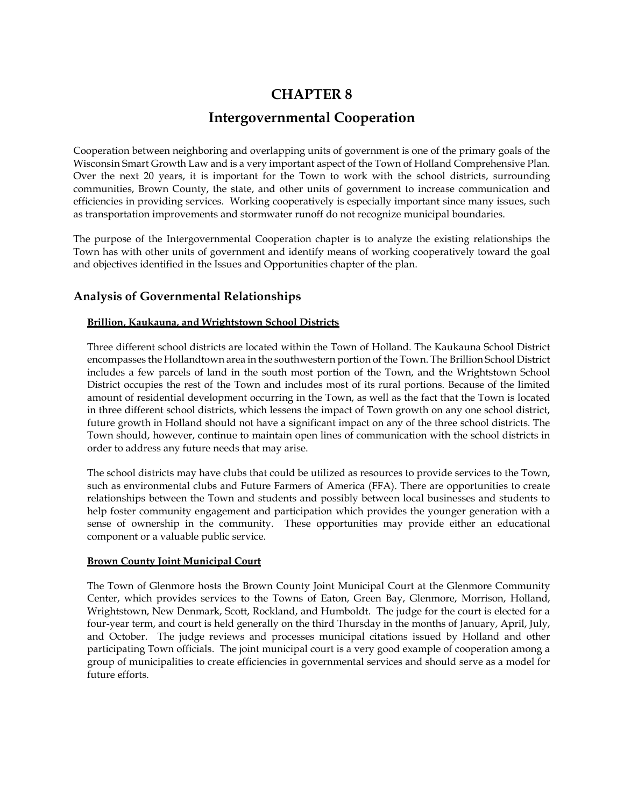# **CHAPTER 8**

# **Intergovernmental Cooperation**

Cooperation between neighboring and overlapping units of government is one of the primary goals of the Wisconsin Smart Growth Law and is a very important aspect of the Town of Holland Comprehensive Plan. Over the next 20 years, it is important for the Town to work with the school districts, surrounding communities, Brown County, the state, and other units of government to increase communication and efficiencies in providing services. Working cooperatively is especially important since many issues, such as transportation improvements and stormwater runoff do not recognize municipal boundaries.

The purpose of the Intergovernmental Cooperation chapter is to analyze the existing relationships the Town has with other units of government and identify means of working cooperatively toward the goal and objectives identified in the Issues and Opportunities chapter of the plan.

# **Analysis of Governmental Relationships**

## **Brillion, Kaukauna, and Wrightstown School Districts**

Three different school districts are located within the Town of Holland. The Kaukauna School District encompasses the Hollandtown area in the southwestern portion of the Town. The Brillion School District includes a few parcels of land in the south most portion of the Town, and the Wrightstown School District occupies the rest of the Town and includes most of its rural portions. Because of the limited amount of residential development occurring in the Town, as well as the fact that the Town is located in three different school districts, which lessens the impact of Town growth on any one school district, future growth in Holland should not have a significant impact on any of the three school districts. The Town should, however, continue to maintain open lines of communication with the school districts in order to address any future needs that may arise.

The school districts may have clubs that could be utilized as resources to provide services to the Town, such as environmental clubs and Future Farmers of America (FFA). There are opportunities to create relationships between the Town and students and possibly between local businesses and students to help foster community engagement and participation which provides the younger generation with a sense of ownership in the community. These opportunities may provide either an educational component or a valuable public service.

## **Brown County Joint Municipal Court**

The Town of Glenmore hosts the Brown County Joint Municipal Court at the Glenmore Community Center, which provides services to the Towns of Eaton, Green Bay, Glenmore, Morrison, Holland, Wrightstown, New Denmark, Scott, Rockland, and Humboldt. The judge for the court is elected for a four-year term, and court is held generally on the third Thursday in the months of January, April, July, and October. The judge reviews and processes municipal citations issued by Holland and other participating Town officials. The joint municipal court is a very good example of cooperation among a group of municipalities to create efficiencies in governmental services and should serve as a model for future efforts.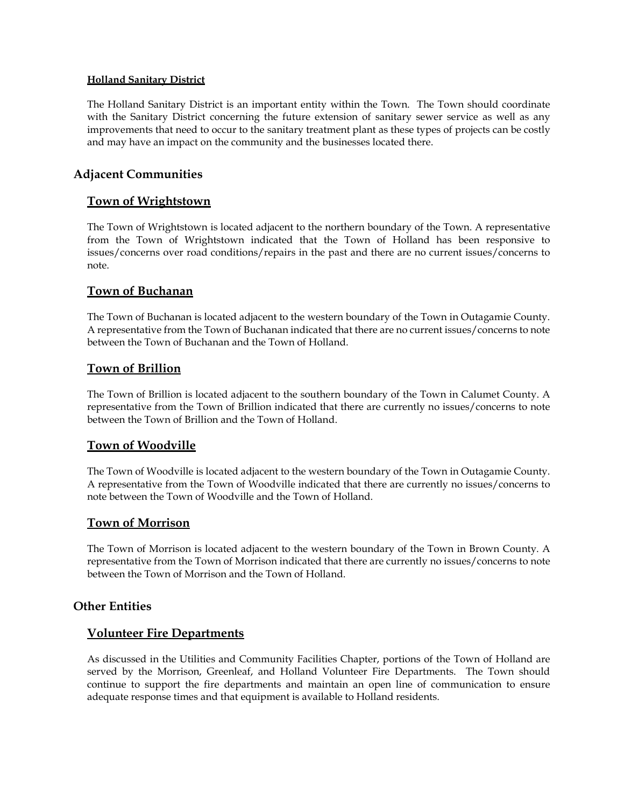## **Holland Sanitary District**

The Holland Sanitary District is an important entity within the Town. The Town should coordinate with the Sanitary District concerning the future extension of sanitary sewer service as well as any improvements that need to occur to the sanitary treatment plant as these types of projects can be costly and may have an impact on the community and the businesses located there.

# **Adjacent Communities**

# **Town of Wrightstown**

The Town of Wrightstown is located adjacent to the northern boundary of the Town. A representative from the Town of Wrightstown indicated that the Town of Holland has been responsive to issues/concerns over road conditions/repairs in the past and there are no current issues/concerns to note.

# **Town of Buchanan**

The Town of Buchanan is located adjacent to the western boundary of the Town in Outagamie County. A representative from the Town of Buchanan indicated that there are no current issues/concerns to note between the Town of Buchanan and the Town of Holland.

# **Town of Brillion**

The Town of Brillion is located adjacent to the southern boundary of the Town in Calumet County. A representative from the Town of Brillion indicated that there are currently no issues/concerns to note between the Town of Brillion and the Town of Holland.

# **Town of Woodville**

The Town of Woodville is located adjacent to the western boundary of the Town in Outagamie County. A representative from the Town of Woodville indicated that there are currently no issues/concerns to note between the Town of Woodville and the Town of Holland.

## **Town of Morrison**

The Town of Morrison is located adjacent to the western boundary of the Town in Brown County. A representative from the Town of Morrison indicated that there are currently no issues/concerns to note between the Town of Morrison and the Town of Holland.

## **Other Entities**

## **Volunteer Fire Departments**

As discussed in the Utilities and Community Facilities Chapter, portions of the Town of Holland are served by the Morrison, Greenleaf, and Holland Volunteer Fire Departments. The Town should continue to support the fire departments and maintain an open line of communication to ensure adequate response times and that equipment is available to Holland residents.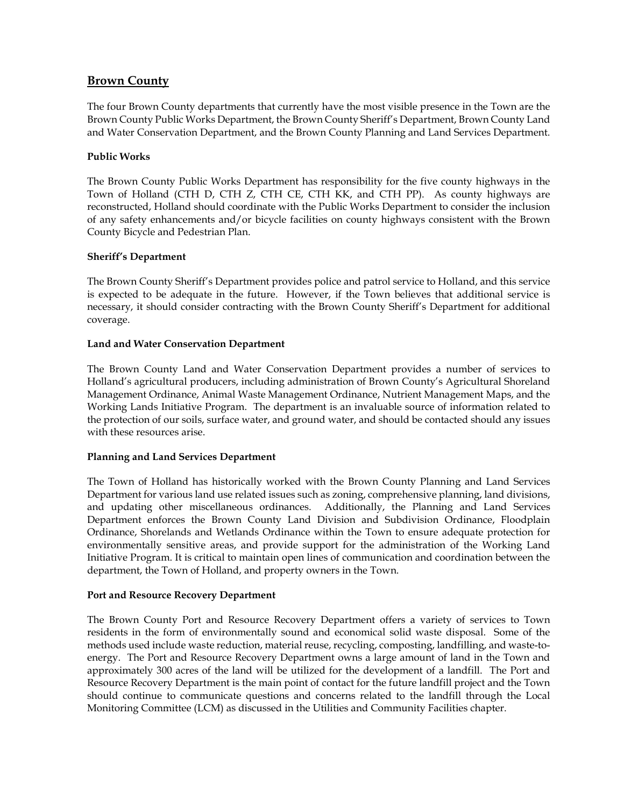# **Brown County**

The four Brown County departments that currently have the most visible presence in the Town are the Brown County Public Works Department, the Brown County Sheriff's Department, Brown County Land and Water Conservation Department, and the Brown County Planning and Land Services Department.

## **Public Works**

The Brown County Public Works Department has responsibility for the five county highways in the Town of Holland (CTH D, CTH Z, CTH CE, CTH KK, and CTH PP). As county highways are reconstructed, Holland should coordinate with the Public Works Department to consider the inclusion of any safety enhancements and/or bicycle facilities on county highways consistent with the Brown County Bicycle and Pedestrian Plan.

## **Sheriff's Department**

The Brown County Sheriff's Department provides police and patrol service to Holland, and this service is expected to be adequate in the future. However, if the Town believes that additional service is necessary, it should consider contracting with the Brown County Sheriff's Department for additional coverage.

## **Land and Water Conservation Department**

The Brown County Land and Water Conservation Department provides a number of services to Holland's agricultural producers, including administration of Brown County's Agricultural Shoreland Management Ordinance, Animal Waste Management Ordinance, Nutrient Management Maps, and the Working Lands Initiative Program. The department is an invaluable source of information related to the protection of our soils, surface water, and ground water, and should be contacted should any issues with these resources arise.

## **Planning and Land Services Department**

The Town of Holland has historically worked with the Brown County Planning and Land Services Department for various land use related issues such as zoning, comprehensive planning, land divisions, and updating other miscellaneous ordinances. Additionally, the Planning and Land Services Department enforces the Brown County Land Division and Subdivision Ordinance, Floodplain Ordinance, Shorelands and Wetlands Ordinance within the Town to ensure adequate protection for environmentally sensitive areas, and provide support for the administration of the Working Land Initiative Program. It is critical to maintain open lines of communication and coordination between the department, the Town of Holland, and property owners in the Town.

#### **Port and Resource Recovery Department**

The Brown County Port and Resource Recovery Department offers a variety of services to Town residents in the form of environmentally sound and economical solid waste disposal. Some of the methods used include waste reduction, material reuse, recycling, composting, landfilling, and waste-toenergy. The Port and Resource Recovery Department owns a large amount of land in the Town and approximately 300 acres of the land will be utilized for the development of a landfill. The Port and Resource Recovery Department is the main point of contact for the future landfill project and the Town should continue to communicate questions and concerns related to the landfill through the Local Monitoring Committee (LCM) as discussed in the Utilities and Community Facilities chapter.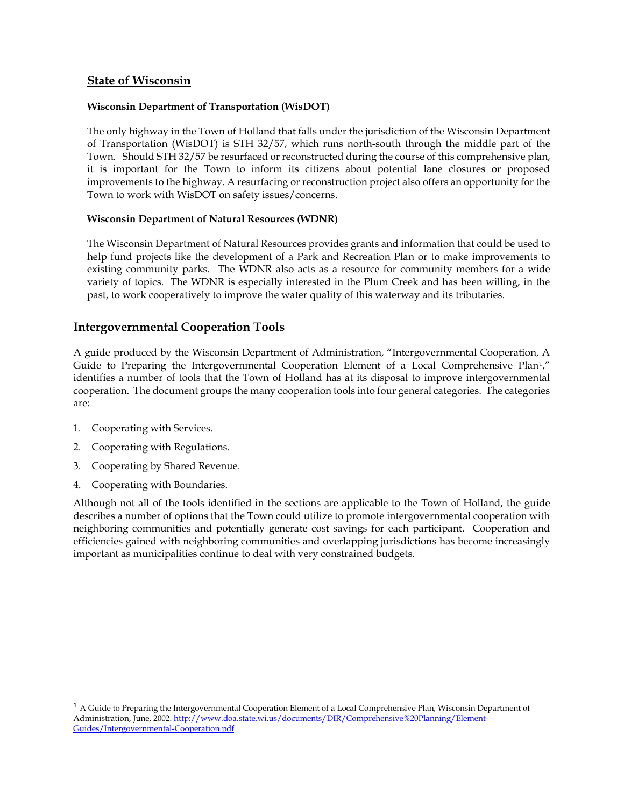# **State of Wisconsin**

## **Wisconsin Department of Transportation (WisDOT)**

The only highway in the Town of Holland that falls under the jurisdiction of the Wisconsin Department of Transportation (WisDOT) is STH 32/57, which runs north-south through the middle part of the Town. Should STH 32/57 be resurfaced or reconstructed during the course of this comprehensive plan, it is important for the Town to inform its citizens about potential lane closures or proposed improvements to the highway. A resurfacing or reconstruction project also offers an opportunity for the Town to work with WisDOT on safety issues/concerns.

## **Wisconsin Department of Natural Resources (WDNR)**

The Wisconsin Department of Natural Resources provides grants and information that could be used to help fund projects like the development of a Park and Recreation Plan or to make improvements to existing community parks. The WDNR also acts as a resource for community members for a wide variety of topics. The WDNR is especially interested in the Plum Creek and has been willing, in the past, to work cooperatively to improve the water quality of this waterway and its tributaries.

## **Intergovernmental Cooperation Tools**

A guide produced by the Wisconsin Department of Administration, "Intergovernmental Cooperation, A Guide to Preparing the Intergovernmental Cooperation Element of a Local Comprehensive Plan<sup>1</sup>," identifies a number of tools that the Town of Holland has at its disposal to improve intergovernmental cooperation. The document groups the many cooperation tools into four general categories. The categories are:

- 1. Cooperating with Services.
- 2. Cooperating with Regulations.
- 3. Cooperating by Shared Revenue.
- 4. Cooperating with Boundaries.

 $\overline{a}$ 

Although not all of the tools identified in the sections are applicable to the Town of Holland, the guide describes a number of options that the Town could utilize to promote intergovernmental cooperation with neighboring communities and potentially generate cost savings for each participant. Cooperation and efficiencies gained with neighboring communities and overlapping jurisdictions has become increasingly important as municipalities continue to deal with very constrained budgets.

 $<sup>1</sup>$  A Guide to Preparing the Intergovernmental Cooperation Element of a Local Comprehensive Plan, Wisconsin Department of</sup> Administration, June, 2002. http://www.doa.state.wi.us/documents/DIR/Comprehensive%20Planning/Element-Guides/Intergovernmental-Cooperation.pdf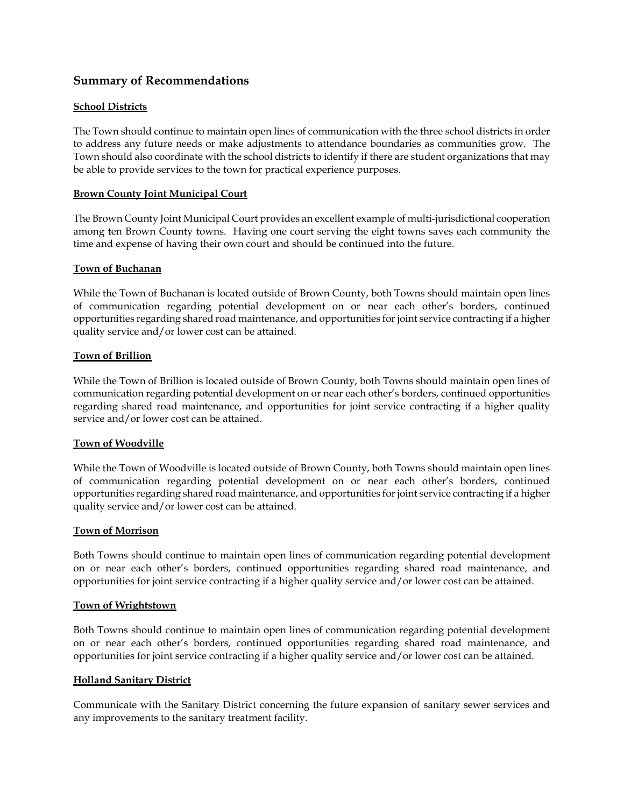# **Summary of Recommendations**

## **School Districts**

The Town should continue to maintain open lines of communication with the three school districts in order to address any future needs or make adjustments to attendance boundaries as communities grow. The Town should also coordinate with the school districts to identify if there are student organizations that may be able to provide services to the town for practical experience purposes.

### **Brown County Joint Municipal Court**

The Brown County Joint Municipal Court provides an excellent example of multi-jurisdictional cooperation among ten Brown County towns. Having one court serving the eight towns saves each community the time and expense of having their own court and should be continued into the future.

#### **Town of Buchanan**

While the Town of Buchanan is located outside of Brown County, both Towns should maintain open lines of communication regarding potential development on or near each other's borders, continued opportunities regarding shared road maintenance, and opportunities for joint service contracting if a higher quality service and/or lower cost can be attained.

#### **Town of Brillion**

While the Town of Brillion is located outside of Brown County, both Towns should maintain open lines of communication regarding potential development on or near each other's borders, continued opportunities regarding shared road maintenance, and opportunities for joint service contracting if a higher quality service and/or lower cost can be attained.

### **Town of Woodville**

While the Town of Woodville is located outside of Brown County, both Towns should maintain open lines of communication regarding potential development on or near each other's borders, continued opportunities regarding shared road maintenance, and opportunities for joint service contracting if a higher quality service and/or lower cost can be attained.

#### **Town of Morrison**

Both Towns should continue to maintain open lines of communication regarding potential development on or near each other's borders, continued opportunities regarding shared road maintenance, and opportunities for joint service contracting if a higher quality service and/or lower cost can be attained.

### **Town of Wrightstown**

Both Towns should continue to maintain open lines of communication regarding potential development on or near each other's borders, continued opportunities regarding shared road maintenance, and opportunities for joint service contracting if a higher quality service and/or lower cost can be attained.

#### **Holland Sanitary District**

Communicate with the Sanitary District concerning the future expansion of sanitary sewer services and any improvements to the sanitary treatment facility.